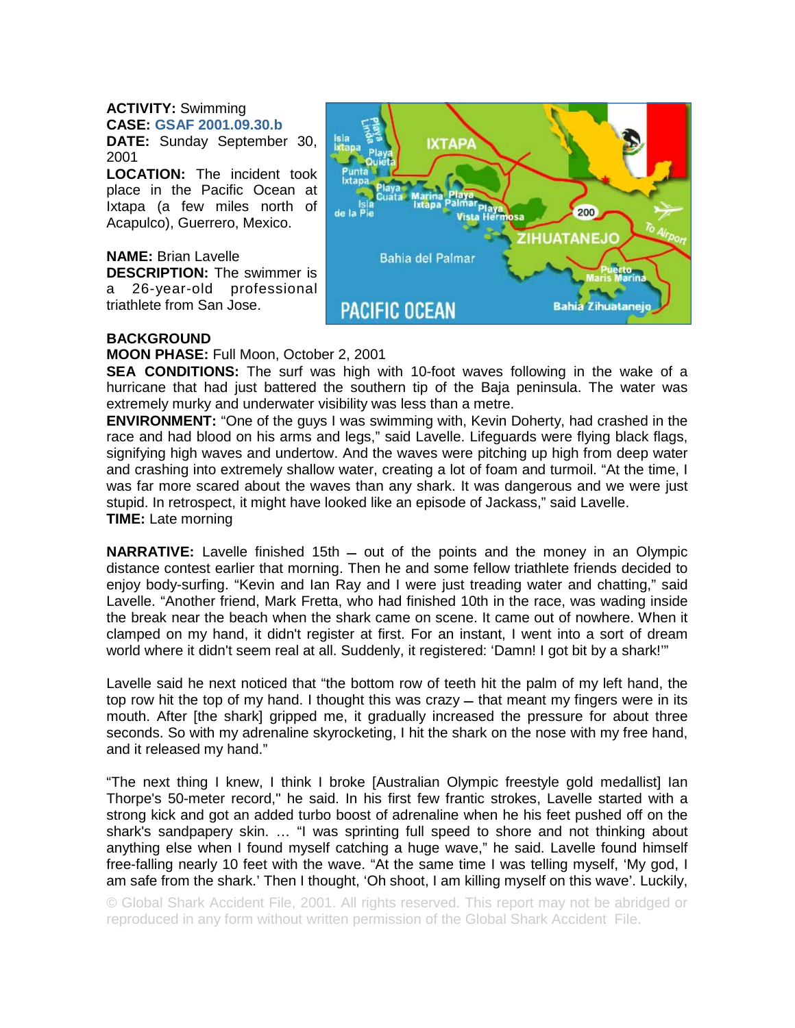## **ACTIVITY:** Swimming **CASE: GSAF 2001.09.30.b**

**DATE:** Sunday September 30, 2001

**LOCATION:** The incident took place in the Pacific Ocean at Ixtapa (a few miles north of Acapulco), Guerrero, Mexico.

**NAME:** Brian Lavelle

**DESCRIPTION:** The swimmer is a 26-year-old professional triathlete from San Jose.



## **BACKGROUND**

## **MOON PHASE:** Full Moon, October 2, 2001

**SEA CONDITIONS:** The surf was high with 10-foot waves following in the wake of a hurricane that had just battered the southern tip of the Baja peninsula. The water was extremely murky and underwater visibility was less than a metre.

**ENVIRONMENT:** "One of the guys I was swimming with, Kevin Doherty, had crashed in the race and had blood on his arms and legs," said Lavelle. Lifeguards were flying black flags, signifying high waves and undertow. And the waves were pitching up high from deep water and crashing into extremely shallow water, creating a lot of foam and turmoil. "At the time, I was far more scared about the waves than any shark. It was dangerous and we were just stupid. In retrospect, it might have looked like an episode of Jackass," said Lavelle. **TIME:** Late morning

**NARRATIVE:** Lavelle finished 15th – out of the points and the money in an Olympic distance contest earlier that morning. Then he and some fellow triathlete friends decided to enjoy body-surfing. "Kevin and Ian Ray and I were just treading water and chatting," said Lavelle. "Another friend, Mark Fretta, who had finished 10th in the race, was wading inside the break near the beach when the shark came on scene. It came out of nowhere. When it clamped on my hand, it didn't register at first. For an instant, I went into a sort of dream world where it didn't seem real at all. Suddenly, it registered: 'Damn! I got bit by a shark!'"

Lavelle said he next noticed that "the bottom row of teeth hit the palm of my left hand, the top row hit the top of my hand. I thought this was crazy  $-$  that meant my fingers were in its mouth. After [the shark] gripped me, it gradually increased the pressure for about three seconds. So with my adrenaline skyrocketing, I hit the shark on the nose with my free hand, and it released my hand."

"The next thing I knew, I think I broke [Australian Olympic freestyle gold medallist] Ian Thorpe's 50-meter record," he said. In his first few frantic strokes, Lavelle started with a strong kick and got an added turbo boost of adrenaline when he his feet pushed off on the shark's sandpapery skin. … "I was sprinting full speed to shore and not thinking about anything else when I found myself catching a huge wave," he said. Lavelle found himself free-falling nearly 10 feet with the wave. "At the same time I was telling myself, 'My god, I am safe from the shark.' Then I thought, 'Oh shoot, I am killing myself on this wave'. Luckily,

© Global Shark Accident File, 2001. All rights reserved. This report may not be abridged or reproduced in any form without written permission of the Global Shark Accident File.